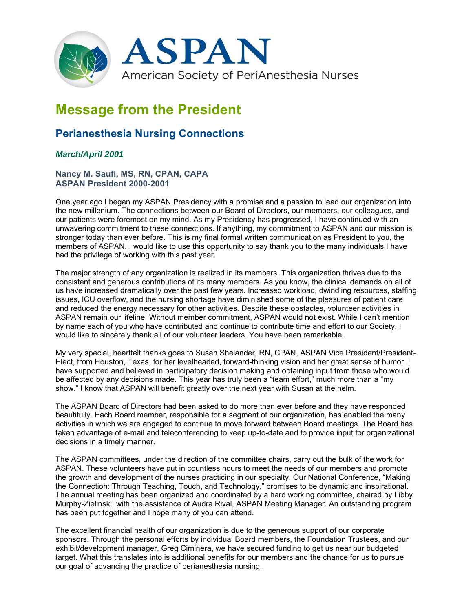

## **Message from the President**

## **Perianesthesia Nursing Connections**

## *March/April 2001*

**Nancy M. Saufl, MS, RN, CPAN, CAPA ASPAN President 2000-2001** 

One year ago I began my ASPAN Presidency with a promise and a passion to lead our organization into the new millenium. The connections between our Board of Directors, our members, our colleagues, and our patients were foremost on my mind. As my Presidency has progressed, I have continued with an unwavering commitment to these connections. If anything, my commitment to ASPAN and our mission is stronger today than ever before. This is my final formal written communication as President to you, the members of ASPAN. I would like to use this opportunity to say thank you to the many individuals I have had the privilege of working with this past year.

The major strength of any organization is realized in its members. This organization thrives due to the consistent and generous contributions of its many members. As you know, the clinical demands on all of us have increased dramatically over the past few years. Increased workload, dwindling resources, staffing issues, ICU overflow, and the nursing shortage have diminished some of the pleasures of patient care and reduced the energy necessary for other activities. Despite these obstacles, volunteer activities in ASPAN remain our lifeline. Without member commitment, ASPAN would not exist. While I can't mention by name each of you who have contributed and continue to contribute time and effort to our Society, I would like to sincerely thank all of our volunteer leaders. You have been remarkable.

My very special, heartfelt thanks goes to Susan Shelander, RN, CPAN, ASPAN Vice President/President-Elect, from Houston, Texas, for her levelheaded, forward-thinking vision and her great sense of humor. I have supported and believed in participatory decision making and obtaining input from those who would be affected by any decisions made. This year has truly been a "team effort," much more than a "my show." I know that ASPAN will benefit greatly over the next year with Susan at the helm.

The ASPAN Board of Directors had been asked to do more than ever before and they have responded beautifully. Each Board member, responsible for a segment of our organization, has enabled the many activities in which we are engaged to continue to move forward between Board meetings. The Board has taken advantage of e-mail and teleconferencing to keep up-to-date and to provide input for organizational decisions in a timely manner.

The ASPAN committees, under the direction of the committee chairs, carry out the bulk of the work for ASPAN. These volunteers have put in countless hours to meet the needs of our members and promote the growth and development of the nurses practicing in our specialty. Our National Conference, "Making the Connection: Through Teaching, Touch, and Technology," promises to be dynamic and inspirational. The annual meeting has been organized and coordinated by a hard working committee, chaired by Libby Murphy-Zielinski, with the assistance of Audra Rival, ASPAN Meeting Manager. An outstanding program has been put together and I hope many of you can attend.

The excellent financial health of our organization is due to the generous support of our corporate sponsors. Through the personal efforts by individual Board members, the Foundation Trustees, and our exhibit/development manager, Greg Ciminera, we have secured funding to get us near our budgeted target. What this translates into is additional benefits for our members and the chance for us to pursue our goal of advancing the practice of perianesthesia nursing.